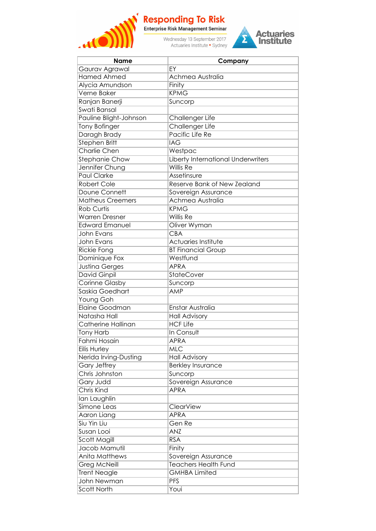

## **Responding To Risk**<br>Enterprise Risk Management Seminar

Wednesday 13 September 2017<br>Actuaries Institute • Sydney



| <b>Name</b>               | Company                            |
|---------------------------|------------------------------------|
| Gaurav Agrawal            | EY                                 |
| <b>Hamed Ahmed</b>        | Achmea Australia                   |
| Alycia Amundson           | Finity                             |
| Verne Baker               | <b>KPMG</b>                        |
| Ranjan Banerji            | Suncorp                            |
| Swati Bansal              |                                    |
| Pauline Blight-Johnson    | Challenger Life                    |
| <b>Tony Bofinger</b>      | Challenger Life                    |
| Daragh Brady              | Pacific Life Re                    |
| <b>Stephen Britt</b>      | $\overline{\mathsf{IAG}}$          |
| Charlie Chen              | Westpac                            |
| Stephanie Chow            | Liberty International Underwriters |
| Jennifer Chung            | <b>Willis Re</b>                   |
| Paul Clarke               | Assetinsure                        |
| <b>Robert Cole</b>        | Reserve Bank of New Zealand        |
| Doune Connett             | Sovereign Assurance                |
| <b>Matheus Creemers</b>   | Achmea Australia                   |
| <b>Rob Curtis</b>         | <b>KPMG</b>                        |
| <b>Warren Dresner</b>     | Willis Re                          |
| <b>Edward Emanuel</b>     | Oliver Wyman                       |
| <b>John Evans</b>         | CBA                                |
| <b>John Evans</b>         | Actuaries Institute                |
| Rickie Fong               | <b>BT Financial Group</b>          |
| Dominique Fox             | Westfund                           |
| Justina Gerges            | <b>APRA</b>                        |
| David Ginpil              | <b>StateCover</b>                  |
| Corinne Glasby            | Suncorp                            |
| Saskia Goedhart           | <b>AMP</b>                         |
| Young Goh                 |                                    |
| <b>Elaine Goodman</b>     | Enstar Australia                   |
| Natasha Hall              | <b>Hall Advisory</b>               |
| <b>Catherine Hallinan</b> | <b>HCF Life</b>                    |
| Tony Harb                 | In Consult                         |
| Fahmi Hosain              | <b>APRA</b>                        |
| Eilis Hurley              | <b>MLC</b>                         |
| Nerida Irving-Dusting     | <b>Hall Advisory</b>               |
| <b>Gary Jeffrey</b>       | <b>Berkley Insurance</b>           |
| Chris Johnston            | Suncorp                            |
| Gary Judd                 | Sovereign Assurance                |
| <b>Chris Kind</b>         | <b>APRA</b>                        |
| lan Laughlin              |                                    |
| Simone Leas               | <b>ClearView</b>                   |
| Aaron Liang               | <b>APRA</b>                        |
| Siu Yin Liu               | Gen Re                             |
| Susan Looi                | ANZ                                |
| Scott Magill              | <b>RSA</b>                         |
| Jacob Mamutil             | Finity                             |
| Anita Matthews            | Sovereign Assurance                |
| <b>Greg McNeill</b>       | <b>Teachers Health Fund</b>        |
| <b>Trent Neagle</b>       | <b>GMHBA Limited</b>               |
| <b>John Newman</b>        | PFS                                |
| Scott North               | Youi                               |